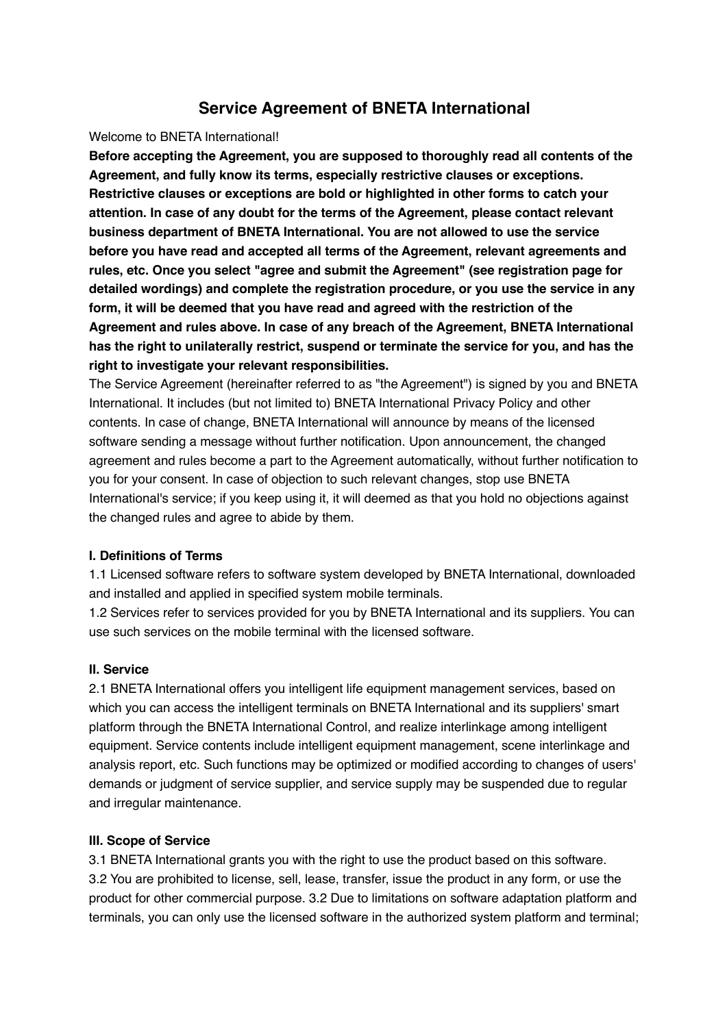# **Service Agreement of BNETA International**

### Welcome to BNETA International!

**Before accepting the Agreement, you are supposed to thoroughly read all contents of the Agreement, and fully know its terms, especially restrictive clauses or exceptions. Restrictive clauses or exceptions are bold or highlighted in other forms to catch your attention. In case of any doubt for the terms of the Agreement, please contact relevant business department of BNETA International. You are not allowed to use the service before you have read and accepted all terms of the Agreement, relevant agreements and rules, etc. Once you select "agree and submit the Agreement" (see registration page for detailed wordings) and complete the registration procedure, or you use the service in any form, it will be deemed that you have read and agreed with the restriction of the Agreement and rules above. In case of any breach of the Agreement, BNETA International has the right to unilaterally restrict, suspend or terminate the service for you, and has the right to investigate your relevant responsibilities.**

The Service Agreement (hereinafter referred to as "the Agreement") is signed by you and BNETA International. It includes (but not limited to) BNETA International Privacy Policy and other contents. In case of change, BNETA International will announce by means of the licensed software sending a message without further notification. Upon announcement, the changed agreement and rules become a part to the Agreement automatically, without further notification to you for your consent. In case of objection to such relevant changes, stop use BNETA International's service; if you keep using it, it will deemed as that you hold no objections against the changed rules and agree to abide by them.

## **I. Definitions of Terms**

1.1 Licensed software refers to software system developed by BNETA International, downloaded and installed and applied in specified system mobile terminals.

1.2 Services refer to services provided for you by BNETA International and its suppliers. You can use such services on the mobile terminal with the licensed software.

#### **II. Service**

2.1 BNETA International offers you intelligent life equipment management services, based on which you can access the intelligent terminals on BNETA International and its suppliers' smart platform through the BNETA International Control, and realize interlinkage among intelligent equipment. Service contents include intelligent equipment management, scene interlinkage and analysis report, etc. Such functions may be optimized or modified according to changes of users' demands or judgment of service supplier, and service supply may be suspended due to regular and irregular maintenance.

#### **III. Scope of Service**

3.1 BNETA International grants you with the right to use the product based on this software. 3.2 You are prohibited to license, sell, lease, transfer, issue the product in any form, or use the product for other commercial purpose. 3.2 Due to limitations on software adaptation platform and terminals, you can only use the licensed software in the authorized system platform and terminal;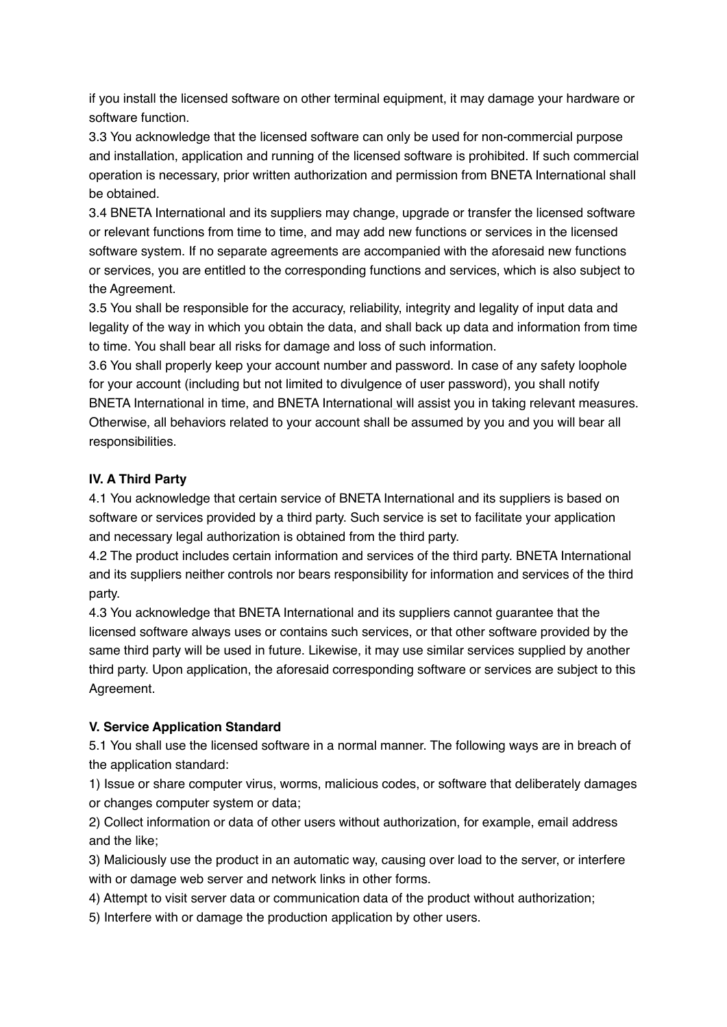if you install the licensed software on other terminal equipment, it may damage your hardware or software function.

3.3 You acknowledge that the licensed software can only be used for non-commercial purpose and installation, application and running of the licensed software is prohibited. If such commercial operation is necessary, prior written authorization and permission from BNETA International shall be obtained.

3.4 BNETA International and its suppliers may change, upgrade or transfer the licensed software or relevant functions from time to time, and may add new functions or services in the licensed software system. If no separate agreements are accompanied with the aforesaid new functions or services, you are entitled to the corresponding functions and services, which is also subject to the Agreement.

3.5 You shall be responsible for the accuracy, reliability, integrity and legality of input data and legality of the way in which you obtain the data, and shall back up data and information from time to time. You shall bear all risks for damage and loss of such information.

3.6 You shall properly keep your account number and password. In case of any safety loophole for your account (including but not limited to divulgence of user password), you shall notify BNETA International in time, and BNETA International will assist you in taking relevant measures. Otherwise, all behaviors related to your account shall be assumed by you and you will bear all responsibilities.

## **IV. A Third Party**

4.1 You acknowledge that certain service of BNETA International and its suppliers is based on software or services provided by a third party. Such service is set to facilitate your application and necessary legal authorization is obtained from the third party.

4.2 The product includes certain information and services of the third party. BNETA International and its suppliers neither controls nor bears responsibility for information and services of the third party.

4.3 You acknowledge that BNETA International and its suppliers cannot guarantee that the licensed software always uses or contains such services, or that other software provided by the same third party will be used in future. Likewise, it may use similar services supplied by another third party. Upon application, the aforesaid corresponding software or services are subject to this Agreement.

#### **V. Service Application Standard**

5.1 You shall use the licensed software in a normal manner. The following ways are in breach of the application standard:

1) Issue or share computer virus, worms, malicious codes, or software that deliberately damages or changes computer system or data;

2) Collect information or data of other users without authorization, for example, email address and the like;

3) Maliciously use the product in an automatic way, causing over load to the server, or interfere with or damage web server and network links in other forms.

4) Attempt to visit server data or communication data of the product without authorization;

5) Interfere with or damage the production application by other users.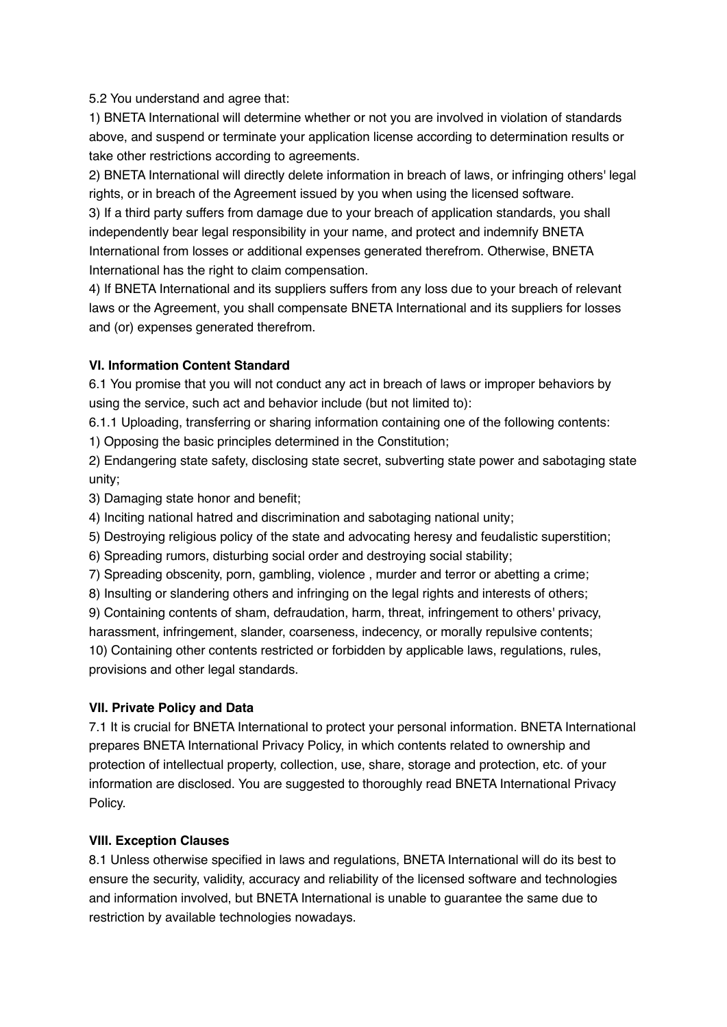5.2 You understand and agree that:

1) BNETA International will determine whether or not you are involved in violation of standards above, and suspend or terminate your application license according to determination results or take other restrictions according to agreements.

2) BNETA International will directly delete information in breach of laws, or infringing others' legal rights, or in breach of the Agreement issued by you when using the licensed software.

3) If a third party suffers from damage due to your breach of application standards, you shall independently bear legal responsibility in your name, and protect and indemnify BNETA International from losses or additional expenses generated therefrom. Otherwise, BNETA International has the right to claim compensation.

4) If BNETA International and its suppliers suffers from any loss due to your breach of relevant laws or the Agreement, you shall compensate BNETA International and its suppliers for losses and (or) expenses generated therefrom.

# **VI. Information Content Standard**

6.1 You promise that you will not conduct any act in breach of laws or improper behaviors by using the service, such act and behavior include (but not limited to):

6.1.1 Uploading, transferring or sharing information containing one of the following contents:

1) Opposing the basic principles determined in the Constitution;

2) Endangering state safety, disclosing state secret, subverting state power and sabotaging state unity;

3) Damaging state honor and benefit;

4) Inciting national hatred and discrimination and sabotaging national unity;

5) Destroying religious policy of the state and advocating heresy and feudalistic superstition;

6) Spreading rumors, disturbing social order and destroying social stability;

7) Spreading obscenity, porn, gambling, violence , murder and terror or abetting a crime;

8) Insulting or slandering others and infringing on the legal rights and interests of others;

9) Containing contents of sham, defraudation, harm, threat, infringement to others' privacy,

harassment, infringement, slander, coarseness, indecency, or morally repulsive contents;

10) Containing other contents restricted or forbidden by applicable laws, regulations, rules, provisions and other legal standards.

# **VII. Private Policy and Data**

7.1 It is crucial for BNETA International to protect your personal information. BNETA International prepares BNETA International Privacy Policy, in which contents related to ownership and protection of intellectual property, collection, use, share, storage and protection, etc. of your information are disclosed. You are suggested to thoroughly read BNETA International Privacy Policy.

# **VIII. Exception Clauses**

8.1 Unless otherwise specified in laws and regulations, BNETA International will do its best to ensure the security, validity, accuracy and reliability of the licensed software and technologies and information involved, but BNETA International is unable to guarantee the same due to restriction by available technologies nowadays.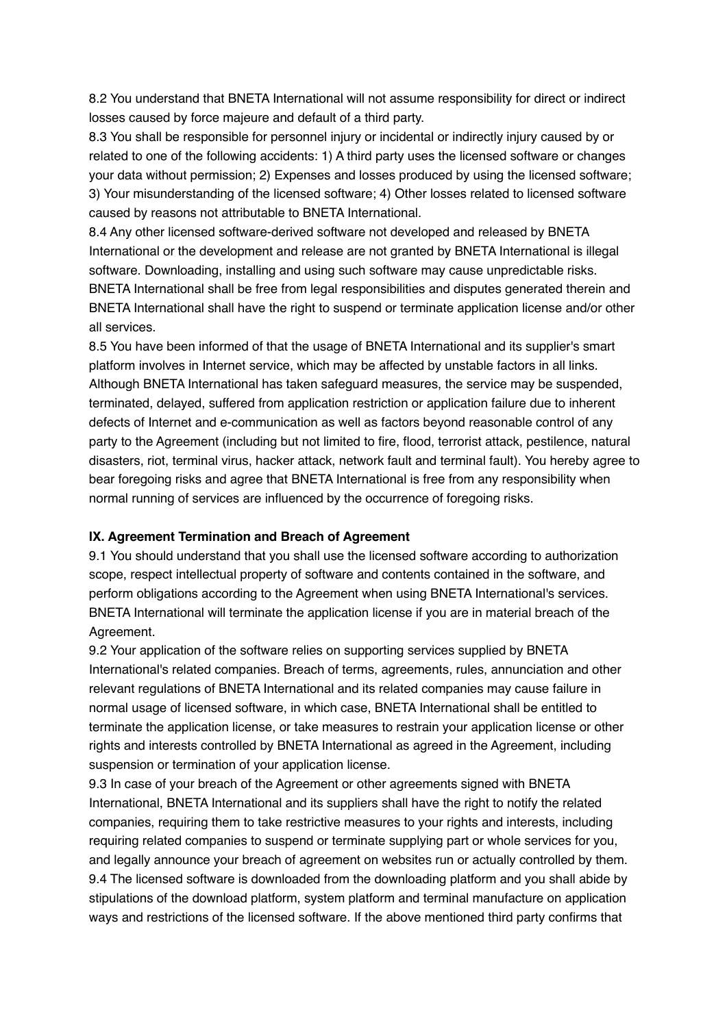8.2 You understand that BNETA International will not assume responsibility for direct or indirect losses caused by force majeure and default of a third party.

8.3 You shall be responsible for personnel injury or incidental or indirectly injury caused by or related to one of the following accidents: 1) A third party uses the licensed software or changes your data without permission; 2) Expenses and losses produced by using the licensed software; 3) Your misunderstanding of the licensed software; 4) Other losses related to licensed software caused by reasons not attributable to BNETA International.

8.4 Any other licensed software-derived software not developed and released by BNETA International or the development and release are not granted by BNETA International is illegal software. Downloading, installing and using such software may cause unpredictable risks. BNETA International shall be free from legal responsibilities and disputes generated therein and BNETA International shall have the right to suspend or terminate application license and/or other all services.

8.5 You have been informed of that the usage of BNETA International and its supplier's smart platform involves in Internet service, which may be affected by unstable factors in all links. Although BNETA International has taken safeguard measures, the service may be suspended, terminated, delayed, suffered from application restriction or application failure due to inherent defects of Internet and e-communication as well as factors beyond reasonable control of any party to the Agreement (including but not limited to fire, flood, terrorist attack, pestilence, natural disasters, riot, terminal virus, hacker attack, network fault and terminal fault). You hereby agree to bear foregoing risks and agree that BNETA International is free from any responsibility when normal running of services are influenced by the occurrence of foregoing risks.

## **IX. Agreement Termination and Breach of Agreement**

9.1 You should understand that you shall use the licensed software according to authorization scope, respect intellectual property of software and contents contained in the software, and perform obligations according to the Agreement when using BNETA International's services. BNETA International will terminate the application license if you are in material breach of the Agreement.

9.2 Your application of the software relies on supporting services supplied by BNETA International's related companies. Breach of terms, agreements, rules, annunciation and other relevant regulations of BNETA International and its related companies may cause failure in normal usage of licensed software, in which case, BNETA International shall be entitled to terminate the application license, or take measures to restrain your application license or other rights and interests controlled by BNETA International as agreed in the Agreement, including suspension or termination of your application license.

9.3 In case of your breach of the Agreement or other agreements signed with BNETA International, BNETA International and its suppliers shall have the right to notify the related companies, requiring them to take restrictive measures to your rights and interests, including requiring related companies to suspend or terminate supplying part or whole services for you, and legally announce your breach of agreement on websites run or actually controlled by them. 9.4 The licensed software is downloaded from the downloading platform and you shall abide by stipulations of the download platform, system platform and terminal manufacture on application ways and restrictions of the licensed software. If the above mentioned third party confirms that